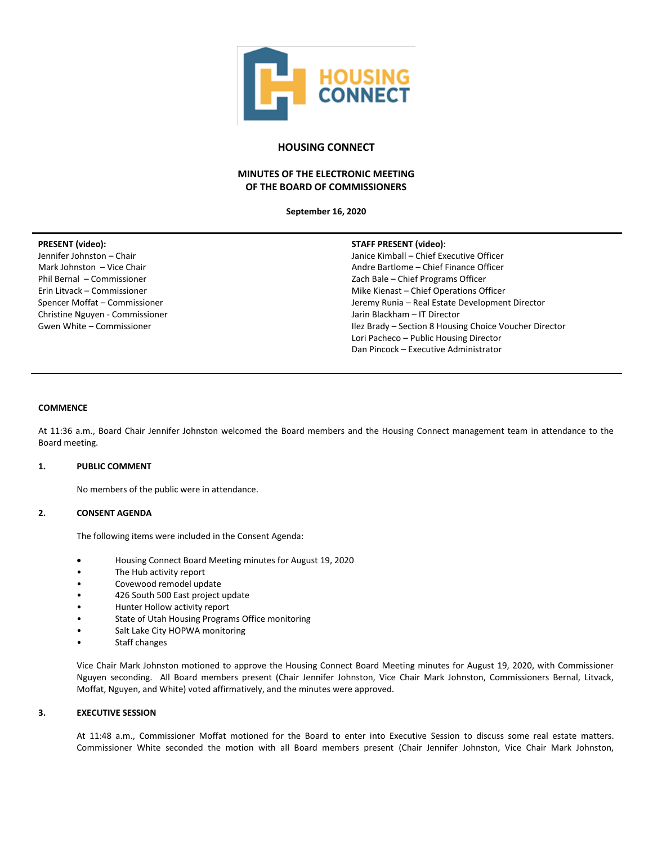

# **HOUSING CONNECT**

# **MINUTES OF THE ELECTRONIC MEETING OF THE BOARD OF COMMISSIONERS**

**September 16, 2020**

# **PRESENT (video):**

Jennifer Johnston – Chair Mark Johnston – Vice Chair Phil Bernal – Commissioner Erin Litvack – Commissioner Spencer Moffat – Commissioner Christine Nguyen - Commissioner Gwen White – Commissioner

## **STAFF PRESENT (video)**:

Janice Kimball – Chief Executive Officer Andre Bartlome – Chief Finance Officer Zach Bale – Chief Programs Officer Mike Kienast – Chief Operations Officer Jeremy Runia – Real Estate Development Director Jarin Blackham – IT Director Ilez Brady – Section 8 Housing Choice Voucher Director Lori Pacheco – Public Housing Director Dan Pincock – Executive Administrator

## **COMMENCE**

At 11:36 a.m., Board Chair Jennifer Johnston welcomed the Board members and the Housing Connect management team in attendance to the Board meeting.

## **1. PUBLIC COMMENT**

No members of the public were in attendance.

# **2. CONSENT AGENDA**

The following items were included in the Consent Agenda:

- Housing Connect Board Meeting minutes for August 19, 2020
- The Hub activity report
- Covewood remodel update
- 426 South 500 East project update
- Hunter Hollow activity report
- State of Utah Housing Programs Office monitoring
- Salt Lake City HOPWA monitoring
- Staff changes

Vice Chair Mark Johnston motioned to approve the Housing Connect Board Meeting minutes for August 19, 2020, with Commissioner Nguyen seconding. All Board members present (Chair Jennifer Johnston, Vice Chair Mark Johnston, Commissioners Bernal, Litvack, Moffat, Nguyen, and White) voted affirmatively, and the minutes were approved.

# **3. EXECUTIVE SESSION**

At 11:48 a.m., Commissioner Moffat motioned for the Board to enter into Executive Session to discuss some real estate matters. Commissioner White seconded the motion with all Board members present (Chair Jennifer Johnston, Vice Chair Mark Johnston,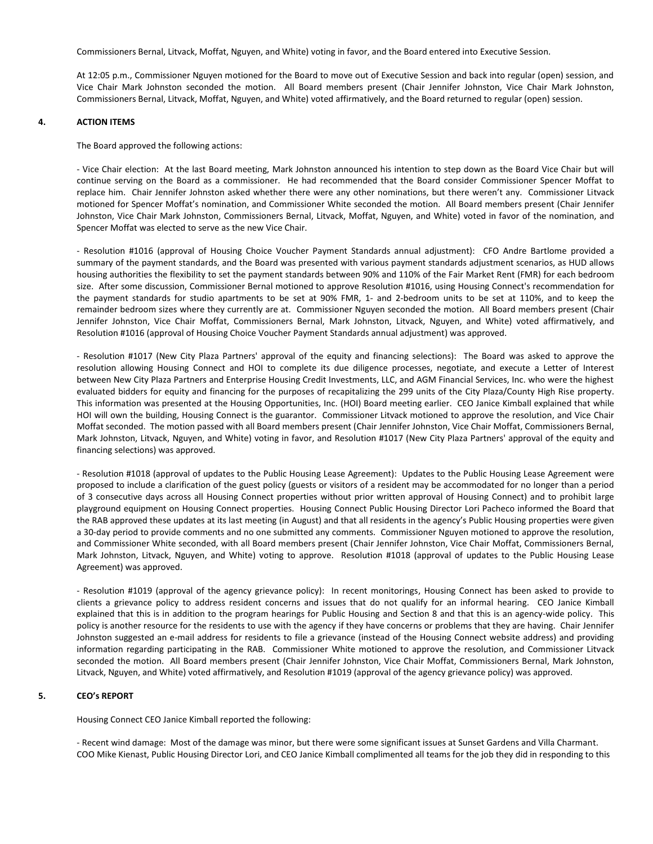Commissioners Bernal, Litvack, Moffat, Nguyen, and White) voting in favor, and the Board entered into Executive Session.

At 12:05 p.m., Commissioner Nguyen motioned for the Board to move out of Executive Session and back into regular (open) session, and Vice Chair Mark Johnston seconded the motion. All Board members present (Chair Jennifer Johnston, Vice Chair Mark Johnston, Commissioners Bernal, Litvack, Moffat, Nguyen, and White) voted affirmatively, and the Board returned to regular (open) session.

### **4. ACTION ITEMS**

The Board approved the following actions:

- Vice Chair election: At the last Board meeting, Mark Johnston announced his intention to step down as the Board Vice Chair but will continue serving on the Board as a commissioner. He had recommended that the Board consider Commissioner Spencer Moffat to replace him. Chair Jennifer Johnston asked whether there were any other nominations, but there weren't any. Commissioner Litvack motioned for Spencer Moffat's nomination, and Commissioner White seconded the motion. All Board members present (Chair Jennifer Johnston, Vice Chair Mark Johnston, Commissioners Bernal, Litvack, Moffat, Nguyen, and White) voted in favor of the nomination, and Spencer Moffat was elected to serve as the new Vice Chair.

- Resolution #1016 (approval of Housing Choice Voucher Payment Standards annual adjustment): CFO Andre Bartlome provided a summary of the payment standards, and the Board was presented with various payment standards adjustment scenarios, as HUD allows housing authorities the flexibility to set the payment standards between 90% and 110% of the Fair Market Rent (FMR) for each bedroom size. After some discussion, Commissioner Bernal motioned to approve Resolution #1016, using Housing Connect's recommendation for the payment standards for studio apartments to be set at 90% FMR, 1- and 2-bedroom units to be set at 110%, and to keep the remainder bedroom sizes where they currently are at. Commissioner Nguyen seconded the motion. All Board members present (Chair Jennifer Johnston, Vice Chair Moffat, Commissioners Bernal, Mark Johnston, Litvack, Nguyen, and White) voted affirmatively, and Resolution #1016 (approval of Housing Choice Voucher Payment Standards annual adjustment) was approved.

- Resolution #1017 (New City Plaza Partners' approval of the equity and financing selections): The Board was asked to approve the resolution allowing Housing Connect and HOI to complete its due diligence processes, negotiate, and execute a Letter of Interest between New City Plaza Partners and Enterprise Housing Credit Investments, LLC, and AGM Financial Services, Inc. who were the highest evaluated bidders for equity and financing for the purposes of recapitalizing the 299 units of the City Plaza/County High Rise property. This information was presented at the Housing Opportunities, Inc. (HOI) Board meeting earlier. CEO Janice Kimball explained that while HOI will own the building, Housing Connect is the guarantor. Commissioner Litvack motioned to approve the resolution, and Vice Chair Moffat seconded. The motion passed with all Board members present (Chair Jennifer Johnston, Vice Chair Moffat, Commissioners Bernal, Mark Johnston, Litvack, Nguyen, and White) voting in favor, and Resolution #1017 (New City Plaza Partners' approval of the equity and financing selections) was approved.

- Resolution #1018 (approval of updates to the Public Housing Lease Agreement): Updates to the Public Housing Lease Agreement were proposed to include a clarification of the guest policy (guests or visitors of a resident may be accommodated for no longer than a period of 3 consecutive days across all Housing Connect properties without prior written approval of Housing Connect) and to prohibit large playground equipment on Housing Connect properties. Housing Connect Public Housing Director Lori Pacheco informed the Board that the RAB approved these updates at its last meeting (in August) and that all residents in the agency's Public Housing properties were given a 30-day period to provide comments and no one submitted any comments. Commissioner Nguyen motioned to approve the resolution, and Commissioner White seconded, with all Board members present (Chair Jennifer Johnston, Vice Chair Moffat, Commissioners Bernal, Mark Johnston, Litvack, Nguyen, and White) voting to approve. Resolution #1018 (approval of updates to the Public Housing Lease Agreement) was approved.

- Resolution #1019 (approval of the agency grievance policy): In recent monitorings, Housing Connect has been asked to provide to clients a grievance policy to address resident concerns and issues that do not qualify for an informal hearing. CEO Janice Kimball explained that this is in addition to the program hearings for Public Housing and Section 8 and that this is an agency-wide policy. This policy is another resource for the residents to use with the agency if they have concerns or problems that they are having. Chair Jennifer Johnston suggested an e-mail address for residents to file a grievance (instead of the Housing Connect website address) and providing information regarding participating in the RAB. Commissioner White motioned to approve the resolution, and Commissioner Litvack seconded the motion. All Board members present (Chair Jennifer Johnston, Vice Chair Moffat, Commissioners Bernal, Mark Johnston, Litvack, Nguyen, and White) voted affirmatively, and Resolution #1019 (approval of the agency grievance policy) was approved.

# **5. CEO's REPORT**

Housing Connect CEO Janice Kimball reported the following:

- Recent wind damage: Most of the damage was minor, but there were some significant issues at Sunset Gardens and Villa Charmant. COO Mike Kienast, Public Housing Director Lori, and CEO Janice Kimball complimented all teams for the job they did in responding to this